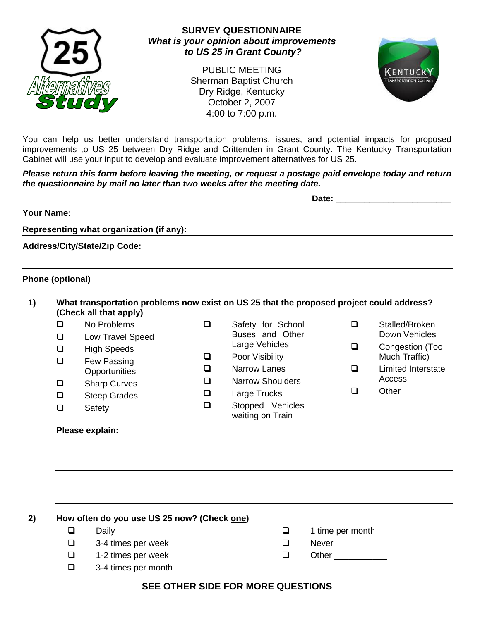

## **SURVEY QUESTIONNAIRE**  *What is your opinion about improvements to US 25 in Grant County?*

PUBLIC MEETING Sherman Baptist Church Dry Ridge, Kentucky October 2, 2007 4:00 to 7:00 p.m.



You can help us better understand transportation problems, issues, and potential impacts for proposed improvements to US 25 between Dry Ridge and Crittenden in Grant County. The Kentucky Transportation Cabinet will use your input to develop and evaluate improvement alternatives for US 25.

#### *Please return this form before leaving the meeting, or request a postage paid envelope today and return the questionnaire by mail no later than two weeks after the meeting date.*

|                                          | Date: |  |
|------------------------------------------|-------|--|
| Your Name:                               |       |  |
| Representing what organization (if any): |       |  |
| <b>Address/City/State/Zip Code:</b>      |       |  |
|                                          |       |  |
| Phone (optional)                         |       |  |

## **1) What transportation problems now exist on US 25 that the proposed project could address? (Check all that apply)**

□ No Problems

- **Low Travel Speed**
- □ High Speeds
- **Q** Few Passing
- **Opportunities Q** Sharp Curves
- □ Steep Grades
- □ Safety
- □ Safety for School Buses and Other Large Vehicles **Q** Poor Visibility
- **Q** Narrow Lanes
- □ Narrow Shoulders
- **Large Trucks**
- □ Stopped Vehicles waiting on Train
- Stalled/Broken Down Vehicles
- □ Congestion (Too Much Traffic)
- **Limited Interstate Access**
- □ Other

## **Please explain:**

**2) How often do you use US 25 now? (Check one)**  Daily  $\Box$  3-4 times per week

- $\Box$  1 time per month
- **D** Never
- $\Box$  Other  $\Box$

 $\Box$  1-2 times per week 3-4 times per month

# **SEE OTHER SIDE FOR MORE QUESTIONS**